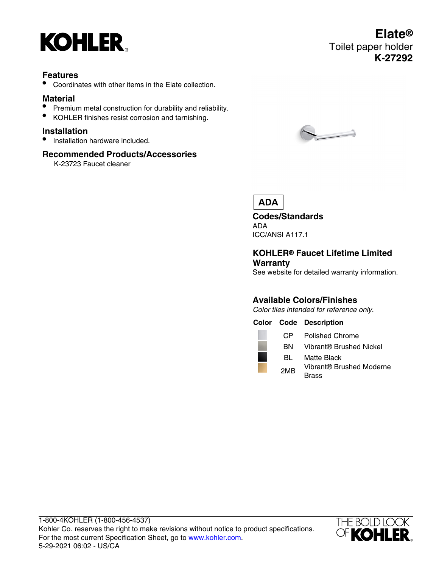

## **Features**

• Coordinates with other items in the Elate collection.

# **Material**

- Premium metal construction for durability and reliability.
- KOHLER finishes resist corrosion and tarnishing.

### **Installation**

• Installation hardware included.

### **Recommended Products/Accessories**

K-23723 Faucet cleaner



# **ADA**

**Codes/Standards** ADA ICC/ANSI A117.1

### **KOHLER® Faucet Lifetime Limited Warranty**

See website for detailed warranty information.

# **Available Colors/Finishes**

Color tiles intended for reference only.